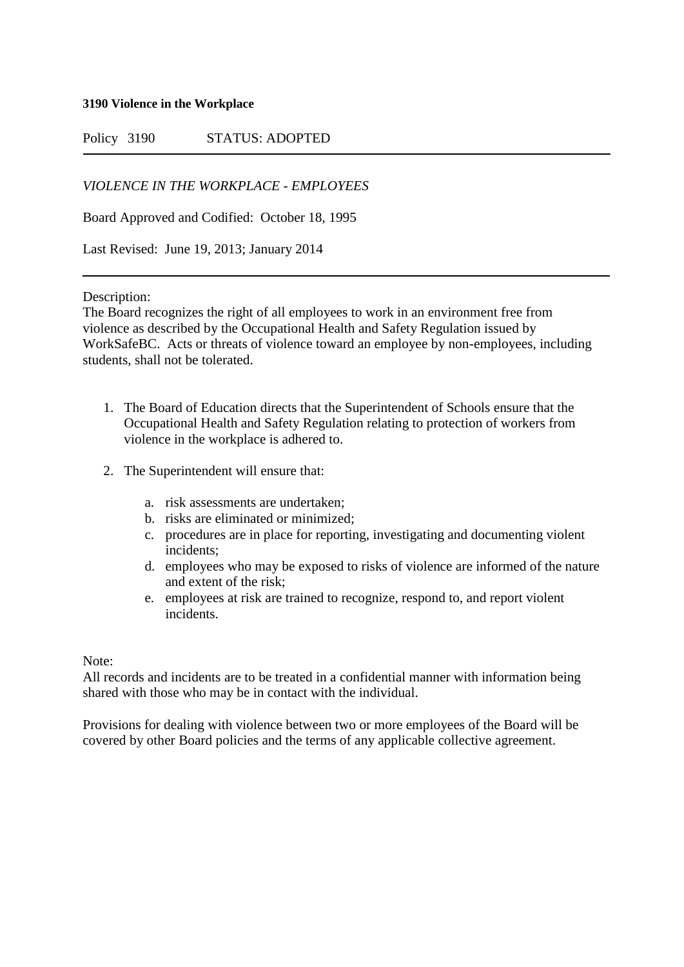**3190 Violence in the Workplace**

Policy 3190 STATUS: ADOPTED

*VIOLENCE IN THE WORKPLACE - EMPLOYEES*

Board Approved and Codified: October 18, 1995

Last Revised: June 19, 2013; January 2014

Description:

The Board recognizes the right of all employees to work in an environment free from violence as described by the Occupational Health and Safety Regulation issued by WorkSafeBC. Acts or threats of violence toward an employee by non-employees, including students, shall not be tolerated.

- 1. The Board of Education directs that the Superintendent of Schools ensure that the Occupational Health and Safety Regulation relating to protection of workers from violence in the workplace is adhered to.
- 2. The Superintendent will ensure that:
	- a. risk assessments are undertaken;
	- b. risks are eliminated or minimized;
	- c. procedures are in place for reporting, investigating and documenting violent incidents;
	- d. employees who may be exposed to risks of violence are informed of the nature and extent of the risk;
	- e. employees at risk are trained to recognize, respond to, and report violent incidents.

Note:

All records and incidents are to be treated in a confidential manner with information being shared with those who may be in contact with the individual.

Provisions for dealing with violence between two or more employees of the Board will be covered by other Board policies and the terms of any applicable collective agreement.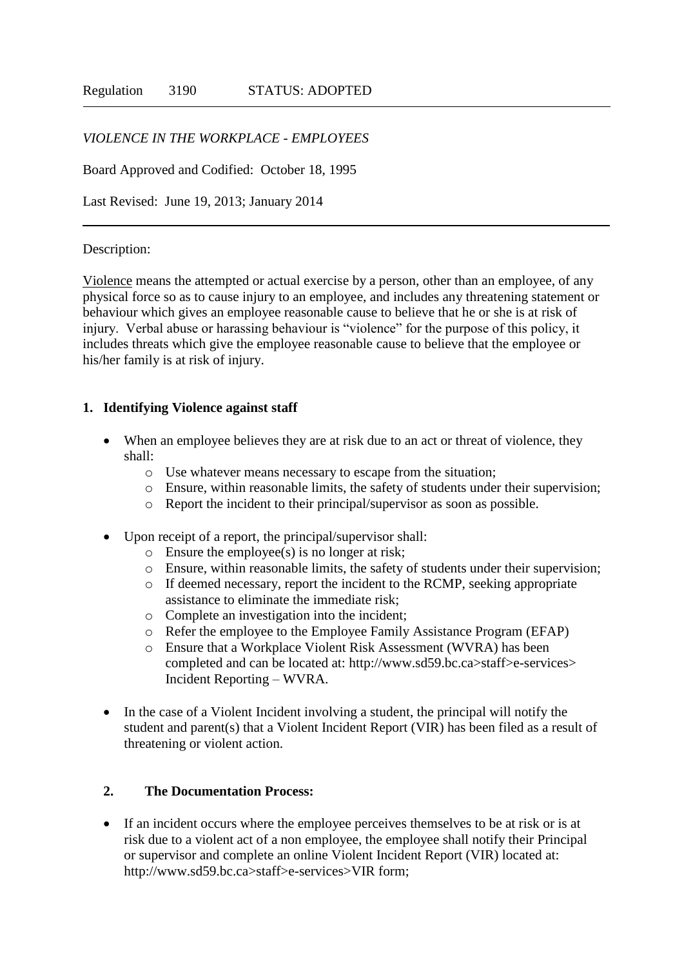### *VIOLENCE IN THE WORKPLACE - EMPLOYEES*

Board Approved and Codified: October 18, 1995

Last Revised: June 19, 2013; January 2014

#### Description:

Violence means the attempted or actual exercise by a person, other than an employee, of any physical force so as to cause injury to an employee, and includes any threatening statement or behaviour which gives an employee reasonable cause to believe that he or she is at risk of injury. Verbal abuse or harassing behaviour is "violence" for the purpose of this policy, it includes threats which give the employee reasonable cause to believe that the employee or his/her family is at risk of injury.

#### **1. Identifying Violence against staff**

- When an employee believes they are at risk due to an act or threat of violence, they shall:
	- o Use whatever means necessary to escape from the situation;
	- o Ensure, within reasonable limits, the safety of students under their supervision;
	- o Report the incident to their principal/supervisor as soon as possible.
- Upon receipt of a report, the principal/supervisor shall:
	- o Ensure the employee(s) is no longer at risk;
	- o Ensure, within reasonable limits, the safety of students under their supervision;
	- o If deemed necessary, report the incident to the RCMP, seeking appropriate assistance to eliminate the immediate risk;
	- o Complete an investigation into the incident;
	- o Refer the employee to the Employee Family Assistance Program (EFAP)
	- o Ensure that a Workplace Violent Risk Assessment (WVRA) has been completed and can be located at: http://www.sd59.bc.ca>staff>e-services> Incident Reporting – WVRA.
- In the case of a Violent Incident involving a student, the principal will notify the student and parent(s) that a Violent Incident Report (VIR) has been filed as a result of threatening or violent action.

#### **2. The Documentation Process:**

 If an incident occurs where the employee perceives themselves to be at risk or is at risk due to a violent act of a non employee, the employee shall notify their Principal or supervisor and complete an online Violent Incident Report (VIR) located at: http://www.sd59.bc.ca>staff>e-services>VIR form;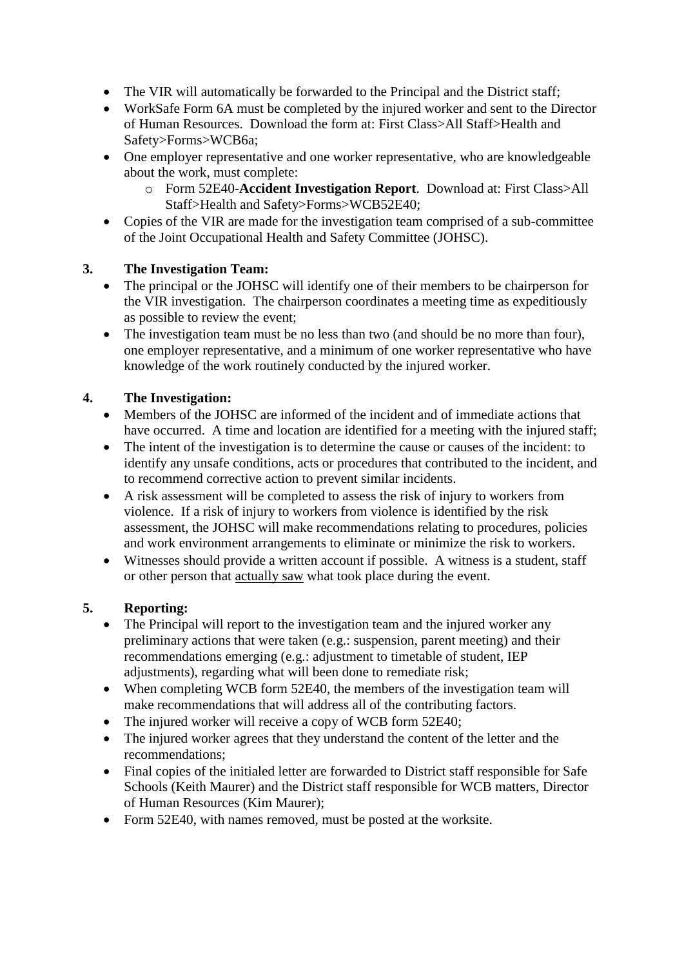- The VIR will automatically be forwarded to the Principal and the District staff;
- WorkSafe Form 6A must be completed by the injured worker and sent to the Director of Human Resources. Download the form at: First Class>All Staff>Health and Safety>Forms>WCB6a;
- One employer representative and one worker representative, who are knowledgeable about the work, must complete:
	- o Form 52E40-**Accident Investigation Report**. Download at: First Class>All Staff>Health and Safety>Forms>WCB52E40;
- Copies of the VIR are made for the investigation team comprised of a sub-committee of the Joint Occupational Health and Safety Committee (JOHSC).

# **3. The Investigation Team:**

- The principal or the JOHSC will identify one of their members to be chairperson for the VIR investigation. The chairperson coordinates a meeting time as expeditiously as possible to review the event;
- The investigation team must be no less than two (and should be no more than four), one employer representative, and a minimum of one worker representative who have knowledge of the work routinely conducted by the injured worker.

## **4. The Investigation:**

- Members of the JOHSC are informed of the incident and of immediate actions that have occurred. A time and location are identified for a meeting with the injured staff;
- The intent of the investigation is to determine the cause or causes of the incident: to identify any unsafe conditions, acts or procedures that contributed to the incident, and to recommend corrective action to prevent similar incidents.
- A risk assessment will be completed to assess the risk of injury to workers from violence. If a risk of injury to workers from violence is identified by the risk assessment, the JOHSC will make recommendations relating to procedures, policies and work environment arrangements to eliminate or minimize the risk to workers.
- Witnesses should provide a written account if possible. A witness is a student, staff or other person that actually saw what took place during the event.

## **5. Reporting:**

- The Principal will report to the investigation team and the injured worker any preliminary actions that were taken (e.g.: suspension, parent meeting) and their recommendations emerging (e.g.: adjustment to timetable of student, IEP adjustments), regarding what will been done to remediate risk;
- When completing WCB form 52E40, the members of the investigation team will make recommendations that will address all of the contributing factors.
- The injured worker will receive a copy of WCB form 52E40;
- The injured worker agrees that they understand the content of the letter and the recommendations;
- Final copies of the initialed letter are forwarded to District staff responsible for Safe Schools (Keith Maurer) and the District staff responsible for WCB matters, Director of Human Resources (Kim Maurer);
- Form 52E40, with names removed, must be posted at the worksite.